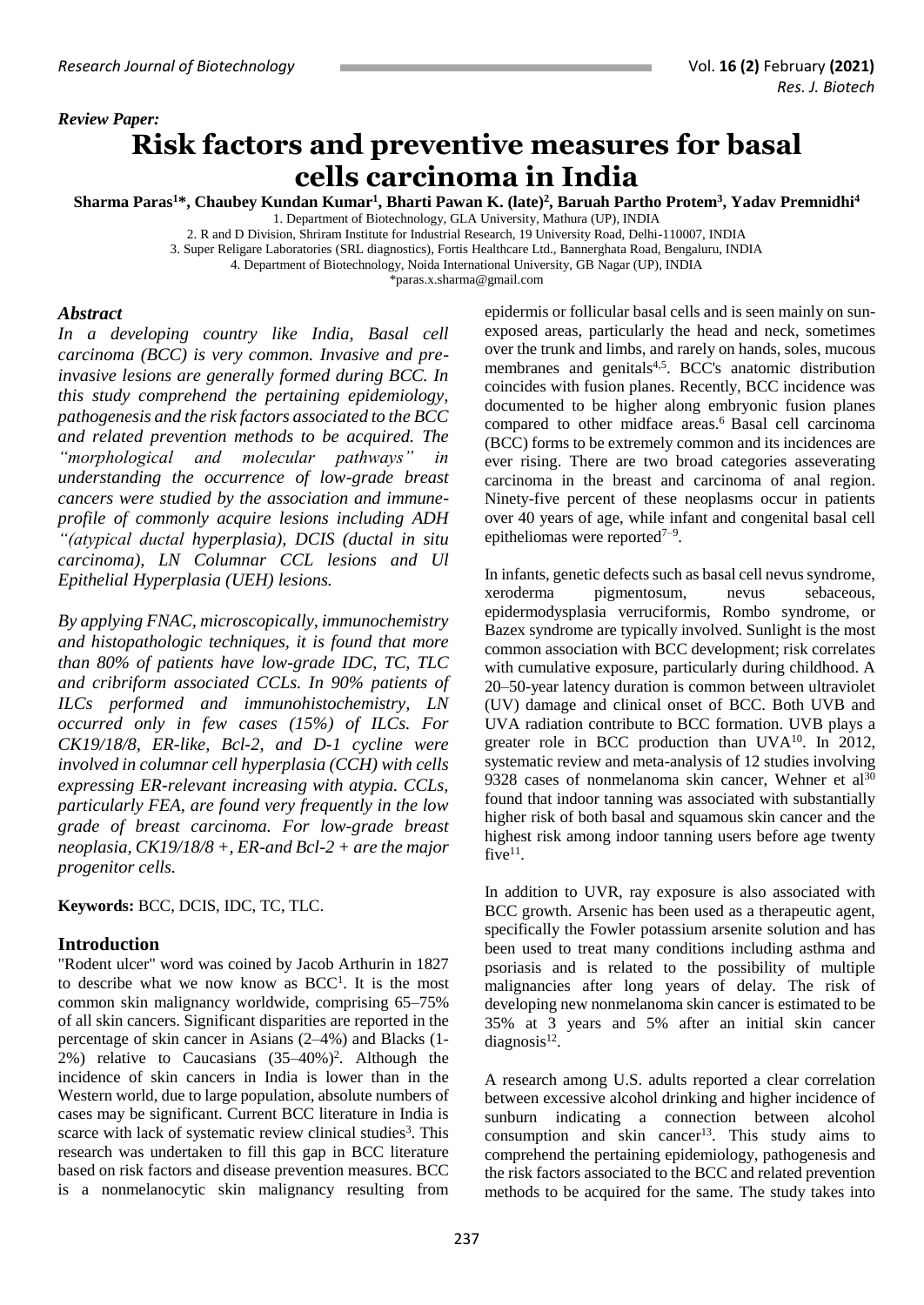# *Review Paper:* **Risk factors and preventive measures for basal cells carcinoma in India**

**Sharma Paras<sup>1</sup>\*, Chaubey Kundan Kumar<sup>1</sup> , Bharti Pawan K. (late)<sup>2</sup> , Baruah Partho Protem<sup>3</sup> , Yadav Premnidhi<sup>4</sup>** 1. Department of Biotechnology, GLA University, Mathura (UP), INDIA

2. R and D Division, Shriram Institute for Industrial Research, 19 University Road, Delhi-110007, INDIA

3. Super Religare Laboratories (SRL diagnostics), Fortis Healthcare Ltd., Bannerghata Road, Bengaluru, INDIA

4. Department of Biotechnology, Noida International University, GB Nagar (UP), INDIA

\*paras.x.sharma@gmail.com

#### *Abstract*

*In a developing country like India, Basal cell carcinoma (BCC) is very common. Invasive and preinvasive lesions are generally formed during BCC. In this study comprehend the pertaining epidemiology, pathogenesis and the risk factors associated to the BCC and related prevention methods to be acquired. The "morphological and molecular pathways" in understanding the occurrence of low-grade breast cancers were studied by the association and immuneprofile of commonly acquire lesions including ADH "(atypical ductal hyperplasia), DCIS (ductal in situ carcinoma), LN Columnar CCL lesions and Ul Epithelial Hyperplasia (UEH) lesions.* 

*By applying FNAC, microscopically, immunochemistry and histopathologic techniques, it is found that more than 80% of patients have low-grade IDC, TC, TLC and cribriform associated CCLs. In 90% patients of ILCs performed and immunohistochemistry, LN occurred only in few cases (15%) of ILCs. For CK19/18/8, ER-like, Bcl-2, and D-1 cycline were involved in columnar cell hyperplasia (CCH) with cells expressing ER-relevant increasing with atypia. CCLs, particularly FEA, are found very frequently in the low grade of breast carcinoma. For low-grade breast neoplasia, CK19/18/8 +, ER-and Bcl-2 + are the major progenitor cells.* 

**Keywords:** BCC, DCIS, IDC, TC, TLC.

### **Introduction**

"Rodent ulcer" word was coined by Jacob Arthurin in 1827 to describe what we now know as BCC<sup>1</sup>. It is the most common skin malignancy worldwide, comprising 65–75% of all skin cancers. Significant disparities are reported in the percentage of skin cancer in Asians (2–4%) and Blacks (1- 2%) relative to Caucasians  $(35-40%)^2$ . Although the incidence of skin cancers in India is lower than in the Western world, due to large population, absolute numbers of cases may be significant. Current BCC literature in India is scarce with lack of systematic review clinical studies<sup>3</sup>. This research was undertaken to fill this gap in BCC literature based on risk factors and disease prevention measures. BCC is a nonmelanocytic skin malignancy resulting from

epidermis or follicular basal cells and is seen mainly on sunexposed areas, particularly the head and neck, sometimes over the trunk and limbs, and rarely on hands, soles, mucous membranes and genitals<sup>4,5</sup>. BCC's anatomic distribution coincides with fusion planes. Recently, BCC incidence was documented to be higher along embryonic fusion planes compared to other midface areas. <sup>6</sup> Basal cell carcinoma (BCC) forms to be extremely common and its incidences are ever rising. There are two broad categories asseverating carcinoma in the breast and carcinoma of anal region. Ninety-five percent of these neoplasms occur in patients over 40 years of age, while infant and congenital basal cell epitheliomas were reported $7-9$ .

In infants, genetic defects such as basal cell nevus syndrome, xeroderma pigmentosum, nevus sebaceous, epidermodysplasia verruciformis, Rombo syndrome, or Bazex syndrome are typically involved. Sunlight is the most common association with BCC development; risk correlates with cumulative exposure, particularly during childhood. A 20–50-year latency duration is common between ultraviolet (UV) damage and clinical onset of BCC. Both UVB and UVA radiation contribute to BCC formation. UVB plays a greater role in BCC production than UVA<sup>10</sup>. In 2012, systematic review and meta-analysis of 12 studies involving 9328 cases of nonmelanoma skin cancer, Wehner et al<sup>30</sup> found that indoor tanning was associated with substantially higher risk of both basal and squamous skin cancer and the highest risk among indoor tanning users before age twenty five $11$ .

In addition to UVR, ray exposure is also associated with BCC growth. Arsenic has been used as a therapeutic agent, specifically the Fowler potassium arsenite solution and has been used to treat many conditions including asthma and psoriasis and is related to the possibility of multiple malignancies after long years of delay. The risk of developing new nonmelanoma skin cancer is estimated to be 35% at 3 years and 5% after an initial skin cancer  $diagnostic<sup>12</sup>$ .

A research among U.S. adults reported a clear correlation between excessive alcohol drinking and higher incidence of sunburn indicating a connection between alcohol consumption and skin cancer<sup>13</sup>. This study aims to comprehend the pertaining epidemiology, pathogenesis and the risk factors associated to the BCC and related prevention methods to be acquired for the same. The study takes into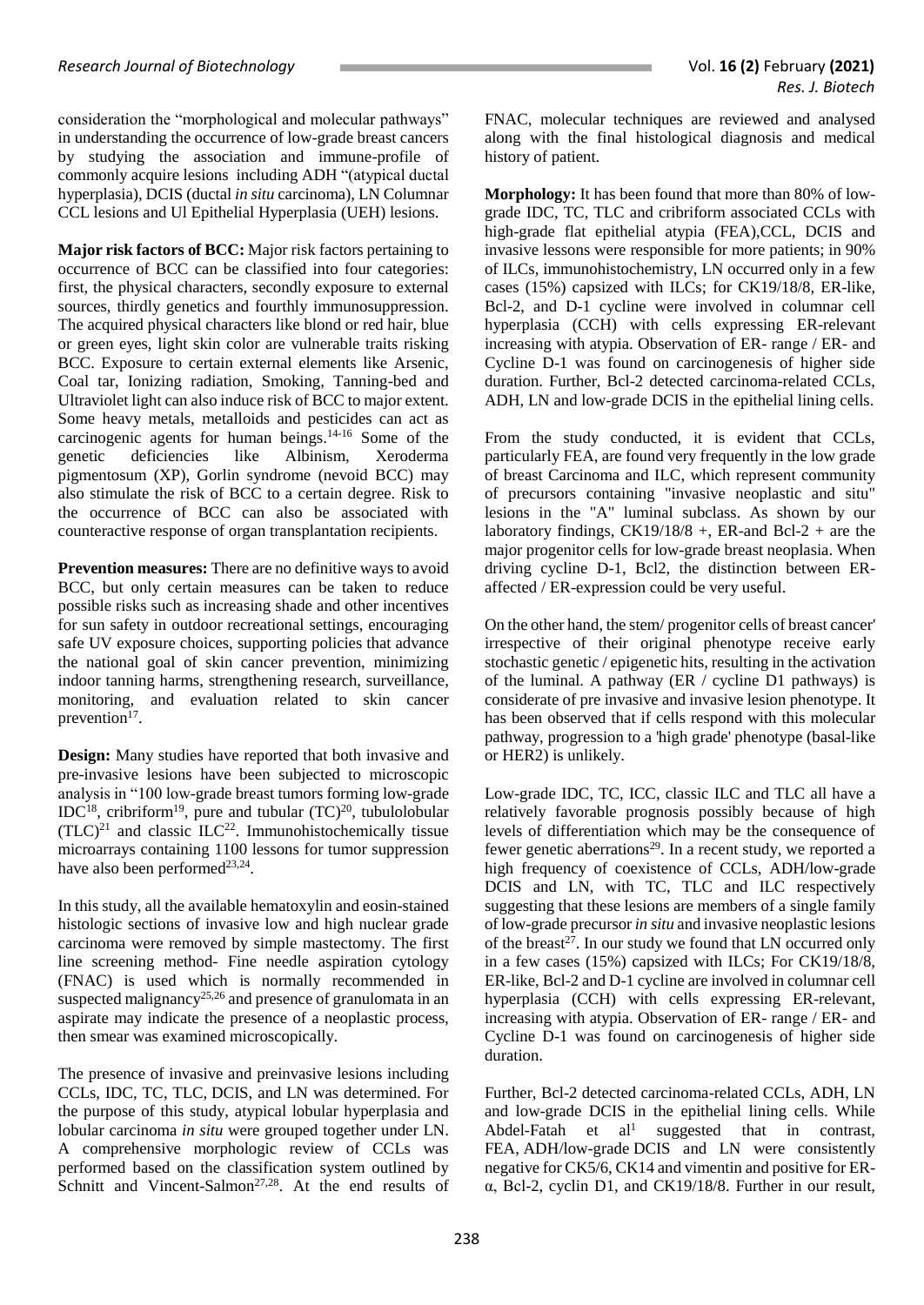consideration the "morphological and molecular pathways" in understanding the occurrence of low-grade breast cancers by studying the association and immune-profile of commonly acquire lesions including ADH "(atypical ductal hyperplasia), DCIS (ductal *in situ* carcinoma), LN Columnar CCL lesions and Ul Epithelial Hyperplasia (UEH) lesions.

**Major risk factors of BCC:** Major risk factors pertaining to occurrence of BCC can be classified into four categories: first, the physical characters, secondly exposure to external sources, thirdly genetics and fourthly immunosuppression. The acquired physical characters like blond or red hair, blue or green eyes, light skin color are vulnerable traits risking BCC. Exposure to certain external elements like Arsenic, Coal tar, Ionizing radiation, Smoking, Tanning-bed and Ultraviolet light can also induce risk of BCC to major extent. Some heavy metals, metalloids and pesticides can act as carcinogenic agents for human beings. 14-16 Some of the genetic deficiencies like Albinism, Xeroderma pigmentosum (XP), Gorlin syndrome (nevoid BCC) may also stimulate the risk of BCC to a certain degree. Risk to the occurrence of BCC can also be associated with counteractive response of organ transplantation recipients.

**Prevention measures:** There are no definitive ways to avoid BCC, but only certain measures can be taken to reduce possible risks such as increasing shade and other incentives for sun safety in outdoor recreational settings, encouraging safe UV exposure choices, supporting policies that advance the national goal of skin cancer prevention, minimizing indoor tanning harms, strengthening research, surveillance, monitoring, and evaluation related to skin cancer prevention<sup>17</sup>.

**Design:** Many studies have reported that both invasive and pre-invasive lesions have been subjected to microscopic analysis in "100 low-grade breast tumors forming low-grade  $IDC<sup>18</sup>$ , cribriform<sup>19</sup>, pure and tubular  $(TC)<sup>20</sup>$ , tubulolobular  $(TLC)^{21}$  and classic ILC<sup>22</sup>. Immunohistochemically tissue microarrays containing 1100 lessons for tumor suppression have also been performed<sup>23,24</sup>.

In this study, all the available hematoxylin and eosin-stained histologic sections of invasive low and high nuclear grade carcinoma were removed by simple mastectomy. The first line screening method- Fine needle aspiration cytology (FNAC) is used which is normally recommended in suspected malignancy<sup>25,26</sup> and presence of granulomata in an aspirate may indicate the presence of a neoplastic process, then smear was examined microscopically.

The presence of invasive and preinvasive lesions including CCLs, IDC, TC, TLC, DCIS, and LN was determined. For the purpose of this study, atypical lobular hyperplasia and lobular carcinoma *in situ* were grouped together under LN. A comprehensive morphologic review of CCLs was performed based on the classification system outlined by Schnitt and Vincent-Salmon<sup>27,28</sup>. At the end results of

FNAC, molecular techniques are reviewed and analysed along with the final histological diagnosis and medical history of patient.

**Morphology:** It has been found that more than 80% of lowgrade IDC, TC, TLC and cribriform associated CCLs with high-grade flat epithelial atypia (FEA),CCL, DCIS and invasive lessons were responsible for more patients; in 90% of ILCs, immunohistochemistry, LN occurred only in a few cases (15%) capsized with ILCs; for CK19/18/8, ER-like, Bcl-2, and D-1 cycline were involved in columnar cell hyperplasia (CCH) with cells expressing ER-relevant increasing with atypia. Observation of ER- range / ER- and Cycline D-1 was found on carcinogenesis of higher side duration. Further, Bcl-2 detected carcinoma-related CCLs, ADH, LN and low-grade DCIS in the epithelial lining cells.

From the study conducted, it is evident that CCLs, particularly FEA, are found very frequently in the low grade of breast Carcinoma and ILC, which represent community of precursors containing "invasive neoplastic and situ" lesions in the "A" luminal subclass. As shown by our laboratory findings,  $CK19/18/8$  +, ER-and Bcl-2 + are the major progenitor cells for low-grade breast neoplasia. When driving cycline D-1, Bcl2, the distinction between ERaffected / ER-expression could be very useful.

On the other hand, the stem/ progenitor cells of breast cancer' irrespective of their original phenotype receive early stochastic genetic / epigenetic hits, resulting in the activation of the luminal. A pathway (ER / cycline D1 pathways) is considerate of pre invasive and invasive lesion phenotype. It has been observed that if cells respond with this molecular pathway, progression to a 'high grade' phenotype (basal-like or HER2) is unlikely.

Low-grade IDC, TC, ICC, classic ILC and TLC all have a relatively favorable prognosis possibly because of high levels of differentiation which may be the consequence of fewer genetic aberrations<sup>29</sup>. In a recent study, we reported a high frequency of coexistence of CCLs, ADH/low-grade DCIS and LN, with TC, TLC and ILC respectively suggesting that these lesions are members of a single family of low-grade precursor *in situ* and invasive neoplastic lesions of the breast<sup>27</sup>. In our study we found that LN occurred only in a few cases (15%) capsized with ILCs; For CK19/18/8, ER-like, Bcl-2 and D-1 cycline are involved in columnar cell hyperplasia (CCH) with cells expressing ER-relevant, increasing with atypia. Observation of ER- range / ER- and Cycline D-1 was found on carcinogenesis of higher side duration.

Further, Bcl-2 detected carcinoma-related CCLs, ADH, LN and low-grade DCIS in the epithelial lining cells. While Abdel-Fatah et  $al<sup>1</sup>$  suggested that in contrast, FEA, ADH/low-grade DCIS and LN were consistently negative for CK5/6, CK14 and vimentin and positive for ERα, Bcl-2, cyclin D1, and CK19/18/8. Further in our result,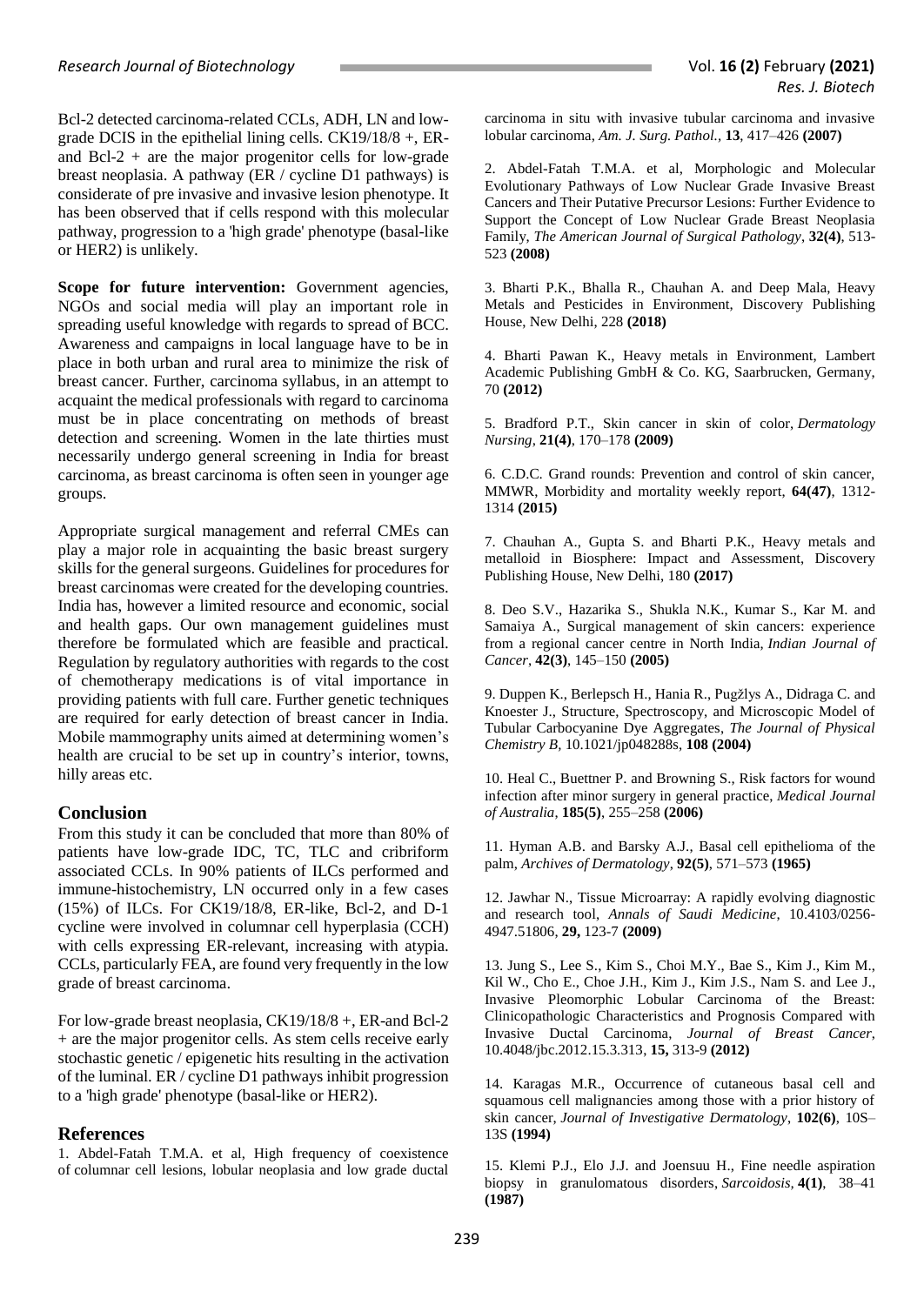Bcl-2 detected carcinoma-related CCLs, ADH, LN and lowgrade DCIS in the epithelial lining cells. CK19/18/8 +, ERand Bcl-2 + are the major progenitor cells for low-grade breast neoplasia. A pathway (ER / cycline D1 pathways) is considerate of pre invasive and invasive lesion phenotype. It has been observed that if cells respond with this molecular pathway, progression to a 'high grade' phenotype (basal-like or HER2) is unlikely.

**Scope for future intervention:** Government agencies, NGOs and social media will play an important role in spreading useful knowledge with regards to spread of BCC. Awareness and campaigns in local language have to be in place in both urban and rural area to minimize the risk of breast cancer. Further, carcinoma syllabus, in an attempt to acquaint the medical professionals with regard to carcinoma must be in place concentrating on methods of breast detection and screening. Women in the late thirties must necessarily undergo general screening in India for breast carcinoma, as breast carcinoma is often seen in younger age groups.

Appropriate surgical management and referral CMEs can play a major role in acquainting the basic breast surgery skills for the general surgeons. Guidelines for procedures for breast carcinomas were created for the developing countries. India has, however a limited resource and economic, social and health gaps. Our own management guidelines must therefore be formulated which are feasible and practical. Regulation by regulatory authorities with regards to the cost of chemotherapy medications is of vital importance in providing patients with full care. Further genetic techniques are required for early detection of breast cancer in India. Mobile mammography units aimed at determining women's health are crucial to be set up in country's interior, towns, hilly areas etc.

# **Conclusion**

From this study it can be concluded that more than 80% of patients have low-grade IDC, TC, TLC and cribriform associated CCLs. In 90% patients of ILCs performed and immune-histochemistry, LN occurred only in a few cases (15%) of ILCs. For CK19/18/8, ER-like, Bcl-2, and D-1 cycline were involved in columnar cell hyperplasia (CCH) with cells expressing ER-relevant, increasing with atypia. CCLs, particularly FEA, are found very frequently in the low grade of breast carcinoma.

For low-grade breast neoplasia, CK19/18/8 +, ER-and Bcl-2 + are the major progenitor cells. As stem cells receive early stochastic genetic / epigenetic hits resulting in the activation of the luminal. ER / cycline D1 pathways inhibit progression to a 'high grade' phenotype (basal-like or HER2).

# **References**

1. Abdel-Fatah T.M.A. et al, High frequency of coexistence of columnar cell lesions, lobular neoplasia and low grade ductal carcinoma in situ with invasive tubular carcinoma and invasive lobular carcinoma, *Am. J. Surg. Pathol.,* **13**, 417–426 **(2007)**

2. Abdel-Fatah T.M.A. et al, Morphologic and Molecular Evolutionary Pathways of Low Nuclear Grade Invasive Breast Cancers and Their Putative Precursor Lesions: Further Evidence to Support the Concept of Low Nuclear Grade Breast Neoplasia Family, *The American Journal of Surgical Pathology*, **32(4)**, 513- 523 **(2008)**

3. Bharti P.K., Bhalla R., Chauhan A. and Deep Mala, Heavy Metals and Pesticides in Environment, Discovery Publishing House, New Delhi, 228 **(2018)**

4. Bharti Pawan K., Heavy metals in Environment, Lambert Academic Publishing GmbH & Co. KG, Saarbrucken, Germany, 70 **(2012)**

5. Bradford P.T., Skin cancer in skin of color, *Dermatology Nursing*, **21(4)**, 170–178 **(2009)**

6. C.D.C. Grand rounds: Prevention and control of skin cancer, MMWR, Morbidity and mortality weekly report, **64(47)**, 1312- 1314 **(2015)**

7. Chauhan A., Gupta S. and Bharti P.K., Heavy metals and metalloid in Biosphere: Impact and Assessment, Discovery Publishing House, New Delhi, 180 **(2017)**

8. Deo S.V., Hazarika S., Shukla N.K., Kumar S., Kar M. and Samaiya A., Surgical management of skin cancers: experience from a regional cancer centre in North India, *Indian Journal of Cancer*, **42(3)**, 145–150 **(2005)**

9. Duppen K., Berlepsch H., Hania R., Pugžlys A., Didraga C. and Knoester J., Structure, Spectroscopy, and Microscopic Model of Tubular Carbocyanine Dye Aggregates, *The Journal of Physical Chemistry B,* 10.1021/jp048288s, **108 (2004)**

10. Heal C., Buettner P. and Browning S., Risk factors for wound infection after minor surgery in general practice, *Medical Journal of Australia*, **185(5)**, 255–258 **(2006)**

11. Hyman A.B. and Barsky A.J., Basal cell epithelioma of the palm, *Archives of Dermatology*, **92(5)**, 571–573 **(1965)**

12. Jawhar N., Tissue Microarray: A rapidly evolving diagnostic and research tool, *Annals of Saudi Medicine*, 10.4103/0256- 4947.51806, **29,** 123-7 **(2009)**

13. Jung S., Lee S., Kim S., Choi M.Y., Bae S., Kim J., Kim M., Kil W., Cho E., Choe J.H., Kim J., Kim J.S., Nam S. and Lee J., Invasive Pleomorphic Lobular Carcinoma of the Breast: Clinicopathologic Characteristics and Prognosis Compared with Invasive Ductal Carcinoma, *Journal of Breast Cancer*, 10.4048/jbc.2012.15.3.313, **15,** 313-9 **(2012)**

14. Karagas M.R., Occurrence of cutaneous basal cell and squamous cell malignancies among those with a prior history of skin cancer, *Journal of Investigative Dermatology*, **102(6)**, 10S– 13S **(1994)**

15. Klemi P.J., Elo J.J. and Joensuu H., Fine needle aspiration biopsy in granulomatous disorders, *Sarcoidosis,* **4(1)**, 38–41 **(1987)**